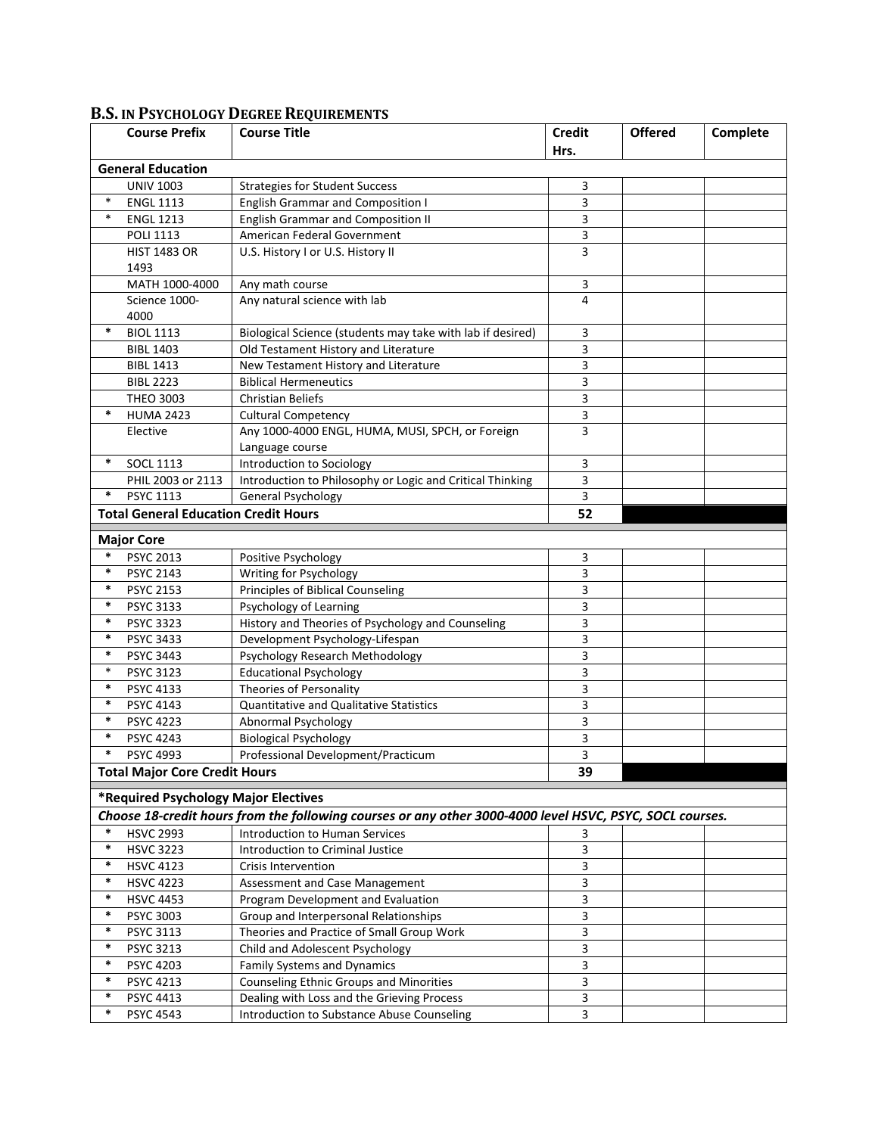|                          | <b>Course Prefix</b>                        | <b>Course Title</b>                                                                                      | <b>Credit</b>  | <b>Offered</b> | Complete |  |  |  |  |
|--------------------------|---------------------------------------------|----------------------------------------------------------------------------------------------------------|----------------|----------------|----------|--|--|--|--|
|                          |                                             |                                                                                                          | Hrs.           |                |          |  |  |  |  |
| <b>General Education</b> |                                             |                                                                                                          |                |                |          |  |  |  |  |
|                          | <b>UNIV 1003</b>                            | <b>Strategies for Student Success</b>                                                                    | 3              |                |          |  |  |  |  |
| $\ast$                   | <b>ENGL 1113</b>                            | <b>English Grammar and Composition I</b>                                                                 | 3              |                |          |  |  |  |  |
| $\ast$                   | <b>ENGL 1213</b>                            | <b>English Grammar and Composition II</b>                                                                | 3              |                |          |  |  |  |  |
|                          | <b>POLI 1113</b>                            | American Federal Government                                                                              | 3              |                |          |  |  |  |  |
|                          | <b>HIST 1483 OR</b>                         | U.S. History I or U.S. History II                                                                        | 3              |                |          |  |  |  |  |
|                          | 1493                                        |                                                                                                          |                |                |          |  |  |  |  |
|                          | MATH 1000-4000                              | Any math course                                                                                          | 3              |                |          |  |  |  |  |
|                          | Science 1000-                               | Any natural science with lab                                                                             | 4              |                |          |  |  |  |  |
|                          | 4000                                        |                                                                                                          |                |                |          |  |  |  |  |
| *                        | <b>BIOL 1113</b>                            | Biological Science (students may take with lab if desired)                                               | 3              |                |          |  |  |  |  |
|                          | <b>BIBL 1403</b>                            | Old Testament History and Literature                                                                     | 3              |                |          |  |  |  |  |
|                          | <b>BIBL 1413</b>                            | New Testament History and Literature                                                                     | 3              |                |          |  |  |  |  |
|                          | <b>BIBL 2223</b>                            | <b>Biblical Hermeneutics</b>                                                                             | 3              |                |          |  |  |  |  |
|                          | <b>THEO 3003</b>                            | <b>Christian Beliefs</b>                                                                                 | 3              |                |          |  |  |  |  |
| $\ast$                   | <b>HUMA 2423</b>                            | <b>Cultural Competency</b>                                                                               | $\overline{3}$ |                |          |  |  |  |  |
|                          | Elective                                    | Any 1000-4000 ENGL, HUMA, MUSI, SPCH, or Foreign                                                         | 3              |                |          |  |  |  |  |
|                          |                                             | Language course                                                                                          |                |                |          |  |  |  |  |
| $\ast$                   | <b>SOCL 1113</b>                            | Introduction to Sociology                                                                                | 3              |                |          |  |  |  |  |
|                          | PHIL 2003 or 2113                           | Introduction to Philosophy or Logic and Critical Thinking                                                | 3              |                |          |  |  |  |  |
| $\ast$                   | PSYC 1113                                   | General Psychology                                                                                       | 3              |                |          |  |  |  |  |
|                          | <b>Total General Education Credit Hours</b> |                                                                                                          | 52             |                |          |  |  |  |  |
|                          | <b>Major Core</b>                           |                                                                                                          |                |                |          |  |  |  |  |
| $\ast$                   | <b>PSYC 2013</b>                            | Positive Psychology                                                                                      | 3              |                |          |  |  |  |  |
| $\ast$                   | <b>PSYC 2143</b>                            | Writing for Psychology                                                                                   | 3              |                |          |  |  |  |  |
| $\ast$                   | <b>PSYC 2153</b>                            | <b>Principles of Biblical Counseling</b>                                                                 | 3              |                |          |  |  |  |  |
| $\ast$                   | <b>PSYC 3133</b>                            | Psychology of Learning                                                                                   | 3              |                |          |  |  |  |  |
| $\ast$                   | <b>PSYC 3323</b>                            | History and Theories of Psychology and Counseling                                                        | 3              |                |          |  |  |  |  |
| $\ast$                   | <b>PSYC 3433</b>                            | Development Psychology-Lifespan                                                                          | 3              |                |          |  |  |  |  |
| $\ast$                   | <b>PSYC 3443</b>                            | Psychology Research Methodology                                                                          | 3              |                |          |  |  |  |  |
| $\ast$                   | <b>PSYC 3123</b>                            | <b>Educational Psychology</b>                                                                            | 3              |                |          |  |  |  |  |
| $\ast$                   | <b>PSYC 4133</b>                            | Theories of Personality                                                                                  | 3              |                |          |  |  |  |  |
| $\ast$                   | PSYC 4143                                   | <b>Quantitative and Qualitative Statistics</b>                                                           | 3              |                |          |  |  |  |  |
| $\ast$                   | <b>PSYC 4223</b>                            | Abnormal Psychology                                                                                      | 3              |                |          |  |  |  |  |
| $\ast$                   | <b>PSYC 4243</b>                            | <b>Biological Psychology</b>                                                                             | 3              |                |          |  |  |  |  |
| $\ast$                   | <b>PSYC 4993</b>                            | Professional Development/Practicum                                                                       | 3              |                |          |  |  |  |  |
|                          | <b>Total Major Core Credit Hours</b>        |                                                                                                          | 39             |                |          |  |  |  |  |
|                          |                                             |                                                                                                          |                |                |          |  |  |  |  |
|                          | *Required Psychology Major Electives        |                                                                                                          |                |                |          |  |  |  |  |
|                          |                                             | Choose 18-credit hours from the following courses or any other 3000-4000 level HSVC, PSYC, SOCL courses. |                |                |          |  |  |  |  |
| $\ast$                   | <b>HSVC 2993</b>                            | <b>Introduction to Human Services</b>                                                                    | 3              |                |          |  |  |  |  |
| $\ast$                   | <b>HSVC 3223</b>                            | Introduction to Criminal Justice                                                                         | 3              |                |          |  |  |  |  |
| $\ast$                   | <b>HSVC 4123</b>                            | <b>Crisis Intervention</b>                                                                               | 3              |                |          |  |  |  |  |
| $\ast$                   | <b>HSVC 4223</b>                            | Assessment and Case Management                                                                           | 3              |                |          |  |  |  |  |
| $\ast$                   | <b>HSVC 4453</b>                            | Program Development and Evaluation                                                                       | 3              |                |          |  |  |  |  |
| $\ast$                   | <b>PSYC 3003</b>                            | Group and Interpersonal Relationships                                                                    | 3              |                |          |  |  |  |  |
| $\ast$                   | PSYC 3113                                   | Theories and Practice of Small Group Work                                                                | 3              |                |          |  |  |  |  |
| $\ast$                   | <b>PSYC 3213</b>                            | Child and Adolescent Psychology                                                                          | 3              |                |          |  |  |  |  |
| *                        | PSYC 4203                                   | Family Systems and Dynamics                                                                              | 3              |                |          |  |  |  |  |
| $\ast$                   | PSYC 4213                                   | <b>Counseling Ethnic Groups and Minorities</b>                                                           | 3              |                |          |  |  |  |  |
| $\ast$                   | PSYC 4413                                   | Dealing with Loss and the Grieving Process                                                               | 3              |                |          |  |  |  |  |
| $\ast$                   | PSYC 4543                                   | Introduction to Substance Abuse Counseling                                                               | 3              |                |          |  |  |  |  |

## **B.S. IN PSYCHOLOGY DEGREE REQUIREMENTS**